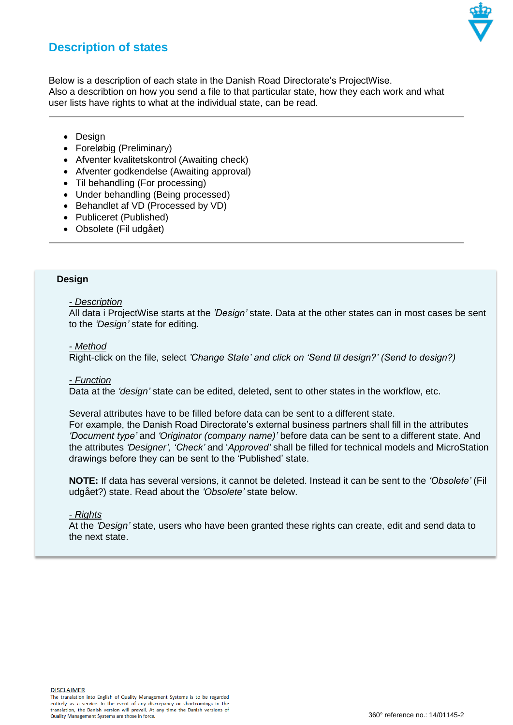

# **Description of states**

Below is a description of each state in the Danish Road Directorate's ProjectWise. Also a describtion on how you send a file to that particular state, how they each work and what user lists have rights to what at the individual state, can be read.

- Design
- Foreløbig (Preliminary)
- Afventer kvalitetskontrol (Awaiting check)
- Afventer godkendelse (Awaiting approval)
- Til behandling (For processing)
- Under behandling (Being processed)
- Behandlet af VD (Processed by VD)
- Publiceret (Published)
- Obsolete (Fil udgået)

# **Design**

#### *- Description*

All data i ProjectWise starts at the *'Design'* state. Data at the other states can in most cases be sent to the *'Design'* state for editing.

#### *- Method*

Right-click on the file, select *'Change State' and click on 'Send til design?' (Send to design?)*

#### *- Function*

Data at the *'design'* state can be edited, deleted, sent to other states in the workflow, etc.

Several attributes have to be filled before data can be sent to a different state. For example, the Danish Road Directorate's external business partners shall fill in the attributes *'Document type'* and *'Originator (company name)'* before data can be sent to a different state. And the attributes *'Designer', 'Check'* and '*Approved'* shall be filled for technical models and MicroStation drawings before they can be sent to the 'Published' state.

**NOTE:** If data has several versions, it cannot be deleted. Instead it can be sent to the *'Obsolete'* (Fil udgået?) state. Read about the *'Obsolete'* state below.

#### *- Rights*

At the *'Design'* state, users who have been granted these rights can create, edit and send data to the next state.

**DISCLAIMER**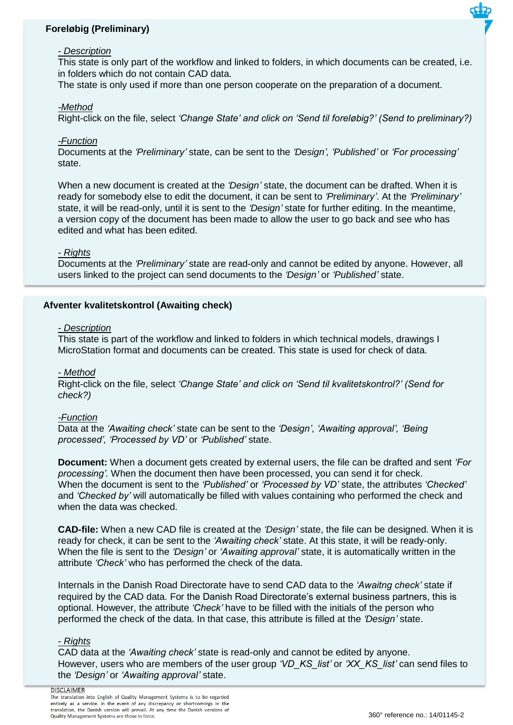# **Foreløbig (Preliminary)**

#### *- Description*

This state is only part of the workflow and linked to folders, in which documents can be created, i.e. in folders which do not contain CAD data.

The state is only used if more than one person cooperate on the preparation of a document.

#### *-Method*

Right-click on the file, select *'Change State' and click on 'Send til foreløbig?' (Send to preliminary?)*

## *-Function*

Documents at the *'Preliminary'* state, can be sent to the *'Design', 'Published'* or *'For processing'* state.

When a new document is created at the *'Design'* state, the document can be drafted. When it is ready for somebody else to edit the document, it can be sent to *'Preliminary'*. At the *'Preliminary'* state, it will be read-only, until it is sent to the *'Design'* state for further editing. In the meantime, a version copy of the document has been made to allow the user to go back and see who has edited and what has been edited.

## *- Rights*

Documents at the *'Preliminary'* state are read-only and cannot be edited by anyone. However, all users linked to the project can send documents to the *'Design'* or *'Published'* state.

# **Afventer kvalitetskontrol (Awaiting check)**

#### *- Description*

This state is part of the workflow and linked to folders in which technical models, drawings I MicroStation format and documents can be created. This state is used for check of data.

#### *- Method*

Right-click on the file, select *'Change State' and click on 'Send til kvalitetskontrol?' (Send for check?)*

#### *-Function*

Data at the *'Awaiting check'* state can be sent to the *'Design'*, *'Awaiting approval', 'Being processed', 'Processed by VD'* or *'Published'* state.

**Document:** When a document gets created by external users, the file can be drafted and sent *'For processing'.* When the document then have been processed, you can send it for check. When the document is sent to the *'Published'* or *'Processed by VD'* state, the attributes *'Checked'*  and *'Checked by'* will automatically be filled with values containing who performed the check and when the data was checked.

**CAD-file:** When a new CAD file is created at the *'Design'* state, the file can be designed. When it is ready for check, it can be sent to the *'Awaiting check'* state. At this state, it will be ready-only. When the file is sent to the *'Design'* or *'Awaiting approval'* state, it is automatically written in the attribute *'Check'* who has performed the check of the data.

Internals in the Danish Road Directorate have to send CAD data to the *'Awaitng check'* state if required by the CAD data. For the Danish Road Directorate's external business partners, this is optional. However, the attribute *'Check'* have to be filled with the initials of the person who performed the check of the data. In that case, this attribute is filled at the *'Design'* state.

## *- Rights*

CAD data at the *'Awaiting check'* state is read-only and cannot be edited by anyone. However, users who are members of the user group *'VD\_KS\_list'* or *'XX\_KS\_list'* can send files to the *'Design'* or *'Awaiting approval'* state.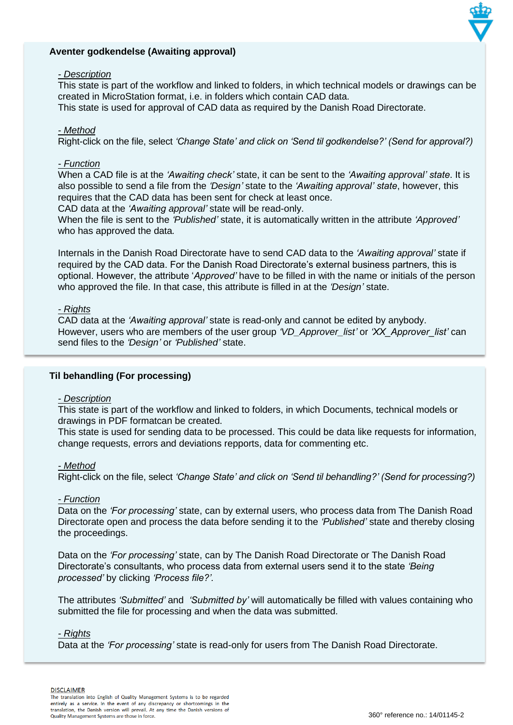# **Aventer godkendelse (Awaiting approval)**

## *- Description*

This state is part of the workflow and linked to folders, in which technical models or drawings can be created in MicroStation format, i.e. in folders which contain CAD data.

This state is used for approval of CAD data as required by the Danish Road Directorate.

## *- Method*

Right-click on the file, select *'Change State' and click on 'Send til godkendelse?' (Send for approval?)*

## *- Function*

When a CAD file is at the *'Awaiting check'* state, it can be sent to the *'Awaiting approval' state*. It is also possible to send a file from the *'Design'* state to the *'Awaiting approval' state*, however, this requires that the CAD data has been sent for check at least once.

CAD data at the *'Awaiting approval'* state will be read-only.

When the file is sent to the *'Published'* state, it is automatically written in the attribute *'Approved'*  who has approved the data*.*

Internals in the Danish Road Directorate have to send CAD data to the *'Awaiting approval'* state if required by the CAD data. For the Danish Road Directorate's external business partners, this is optional. However, the attribute '*Approved'* have to be filled in with the name or initials of the person who approved the file. In that case, this attribute is filled in at the *'Design'* state.

## *- Rights*

CAD data at the *'Awaiting approval'* state is read-only and cannot be edited by anybody. However, users who are members of the user group *'VD\_Approver\_list'* or *'XX\_Approver\_list'* can send files to the *'Design'* or *'Published'* state.

# **Til behandling (For processing)**

#### *- Description*

This state is part of the workflow and linked to folders, in which Documents, technical models or drawings in PDF formatcan be created.

This state is used for sending data to be processed. This could be data like requests for information, change requests, errors and deviations repports, data for commenting etc.

#### *- Method*

Right-click on the file, select *'Change State' and click on 'Send til behandling?' (Send for processing?)*

#### *- Function*

Data on the *'For processing'* state, can by external users, who process data from The Danish Road Directorate open and process the data before sending it to the *'Published'* state and thereby closing the proceedings.

Data on the *'For processing'* state, can by The Danish Road Directorate or The Danish Road Directorate's consultants, who process data from external users send it to the state *'Being processed'* by clicking *'Process file?'.*

The attributes *'Submitted'* and *'Submitted by'* will automatically be filled with values containing who submitted the file for processing and when the data was submitted.

#### *- Rights*

Data at the *'For processing'* state is read-only for users from The Danish Road Directorate.

**DISCLAIMER**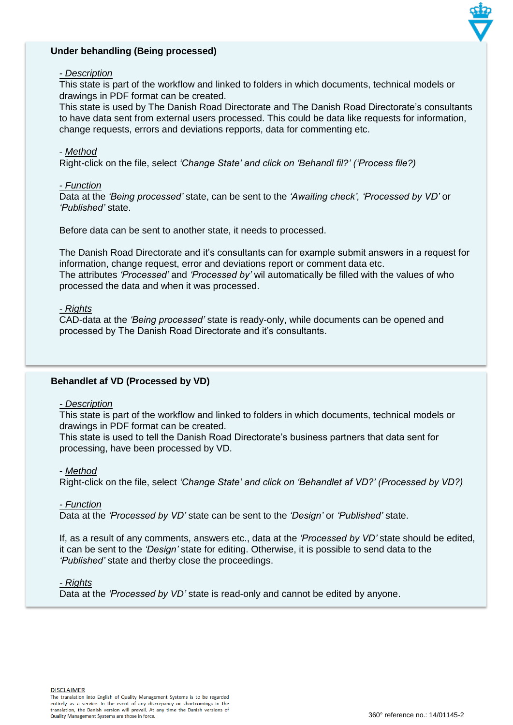# **Under behandling (Being processed)**



# *- Description*

This state is part of the workflow and linked to folders in which documents, technical models or drawings in PDF format can be created.

This state is used by The Danish Road Directorate and The Danish Road Directorate's consultants to have data sent from external users processed. This could be data like requests for information, change requests, errors and deviations repports, data for commenting etc.

## - *Method*

Right-click on the file, select *'Change State' and click on 'Behandl fil?' ('Process file?)*

## *- Function*

Data at the *'Being processed'* state, can be sent to the *'Awaiting check', 'Processed by VD'* or *'Published'* state.

Before data can be sent to another state, it needs to processed.

The Danish Road Directorate and it's consultants can for example submit answers in a request for information, change request, error and deviations report or comment data etc. The attributes *'Processed'* and *'Processed by'* wil automatically be filled with the values of who processed the data and when it was processed.

## *- Rights*

CAD-data at the *'Being processed'* state is ready-only, while documents can be opened and processed by The Danish Road Directorate and it's consultants.

# **Behandlet af VD (Processed by VD)**

#### *- Description*

This state is part of the workflow and linked to folders in which documents, technical models or drawings in PDF format can be created.

This state is used to tell the Danish Road Directorate's business partners that data sent for processing, have been processed by VD.

# - *Method*

Right-click on the file, select *'Change State' and click on 'Behandlet af VD?' (Processed by VD?)*

# *- Function*

Data at the *'Processed by VD'* state can be sent to the *'Design'* or *'Published'* state.

If, as a result of any comments, answers etc., data at the *'Processed by VD'* state should be edited, it can be sent to the *'Design'* state for editing. Otherwise, it is possible to send data to the *'Published'* state and therby close the proceedings.

#### *- Rights*

Data at the *'Processed by VD'* state is read-only and cannot be edited by anyone.